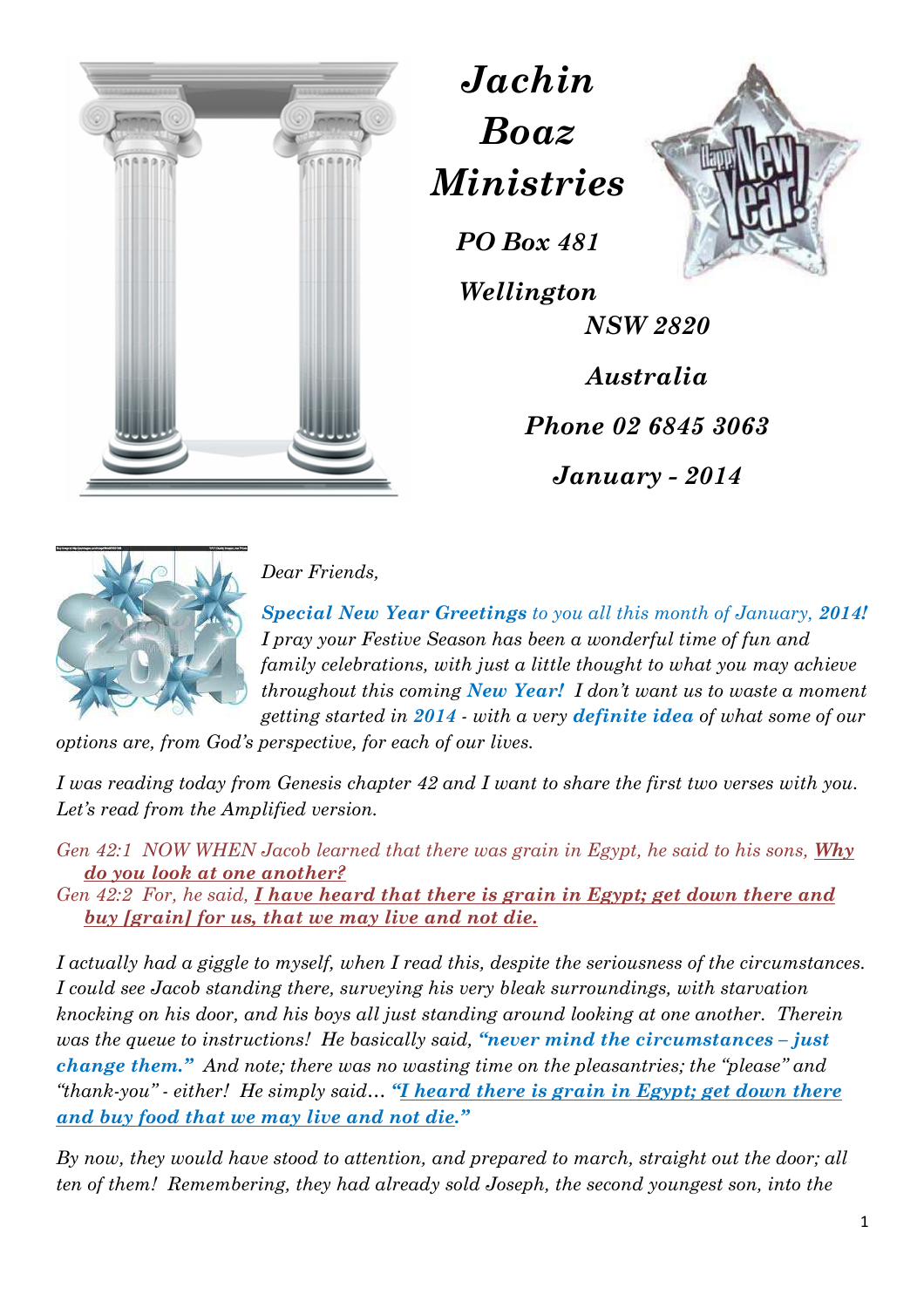



*Wellington NSW 2820 Australia Phone 02 6845 3063 January - 2014* 



*Dear Friends,* 

*Special New Year Greetings to you all this month of January, 2014! I pray your Festive Season has been a wonderful time of fun and family celebrations, with just a little thought to what you may achieve throughout this coming New Year! I don't want us to waste a moment getting started in 2014 - with a very definite idea of what some of our* 

*Jachin* 

*Boaz* 

*Ministries*

*PO Box 481* 

*options are, from God's perspective, for each of our lives.* 

*I was reading today from Genesis chapter 42 and I want to share the first two verses with you. Let's read from the Amplified version.* 

*Gen 42:1 NOW WHEN Jacob learned that there was grain in Egypt, he said to his sons, Why do you look at one another?* 

*Gen 42:2 For, he said, I have heard that there is grain in Egypt; get down there and buy [grain] for us, that we may live and not die.* 

*I actually had a giggle to myself, when I read this, despite the seriousness of the circumstances. I could see Jacob standing there, surveying his very bleak surroundings, with starvation knocking on his door, and his boys all just standing around looking at one another. Therein was the queue to instructions! He basically said, "never mind the circumstances – just change them." And note; there was no wasting time on the pleasantries; the "please" and "thank-you" - either! He simply said… "I heard there is grain in Egypt; get down there and buy food that we may live and not die."* 

*By now, they would have stood to attention, and prepared to march, straight out the door; all ten of them! Remembering, they had already sold Joseph, the second youngest son, into the*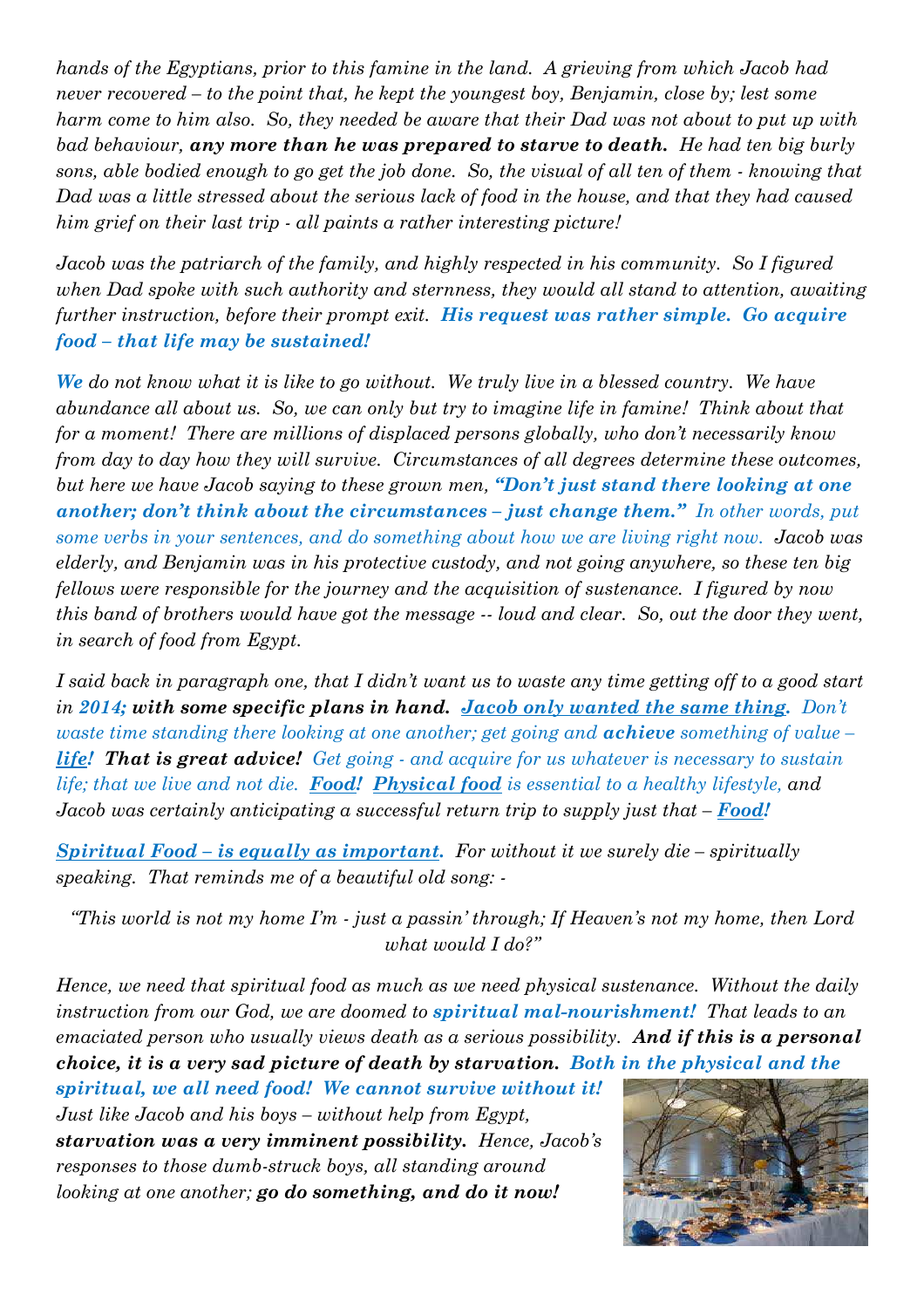*hands of the Egyptians, prior to this famine in the land. A grieving from which Jacob had never recovered – to the point that, he kept the youngest boy, Benjamin, close by; lest some harm come to him also. So, they needed be aware that their Dad was not about to put up with bad behaviour, any more than he was prepared to starve to death. He had ten big burly sons, able bodied enough to go get the job done. So, the visual of all ten of them - knowing that Dad was a little stressed about the serious lack of food in the house, and that they had caused him grief on their last trip - all paints a rather interesting picture!* 

*Jacob was the patriarch of the family, and highly respected in his community. So I figured when Dad spoke with such authority and sternness, they would all stand to attention, awaiting further instruction, before their prompt exit. His request was rather simple. Go acquire food – that life may be sustained!* 

*We do not know what it is like to go without. We truly live in a blessed country. We have abundance all about us. So, we can only but try to imagine life in famine! Think about that for a moment! There are millions of displaced persons globally, who don't necessarily know from day to day how they will survive. Circumstances of all degrees determine these outcomes, but here we have Jacob saying to these grown men, "Don't just stand there looking at one another; don't think about the circumstances – just change them." In other words, put some verbs in your sentences, and do something about how we are living right now. Jacob was elderly, and Benjamin was in his protective custody, and not going anywhere, so these ten big fellows were responsible for the journey and the acquisition of sustenance. I figured by now this band of brothers would have got the message -- loud and clear. So, out the door they went, in search of food from Egypt.* 

*I said back in paragraph one, that I didn't want us to waste any time getting off to a good start in 2014; with some specific plans in hand. Jacob only wanted the same thing. Don't waste time standing there looking at one another; get going and achieve something of value – life! That is great advice! Get going - and acquire for us whatever is necessary to sustain life; that we live and not die. Food! Physical food is essential to a healthy lifestyle, and Jacob was certainly anticipating a successful return trip to supply just that – Food!* 

*Spiritual Food – is equally as important. For without it we surely die – spiritually speaking. That reminds me of a beautiful old song: -* 

*"This world is not my home I'm - just a passin' through; If Heaven's not my home, then Lord what would I do?"* 

*Hence, we need that spiritual food as much as we need physical sustenance. Without the daily instruction from our God, we are doomed to spiritual mal-nourishment! That leads to an emaciated person who usually views death as a serious possibility. And if this is a personal choice, it is a very sad picture of death by starvation. Both in the physical and the* 

*spiritual, we all need food! We cannot survive without it! Just like Jacob and his boys – without help from Egypt, starvation was a very imminent possibility. Hence, Jacob's responses to those dumb-struck boys, all standing around looking at one another; go do something, and do it now!*